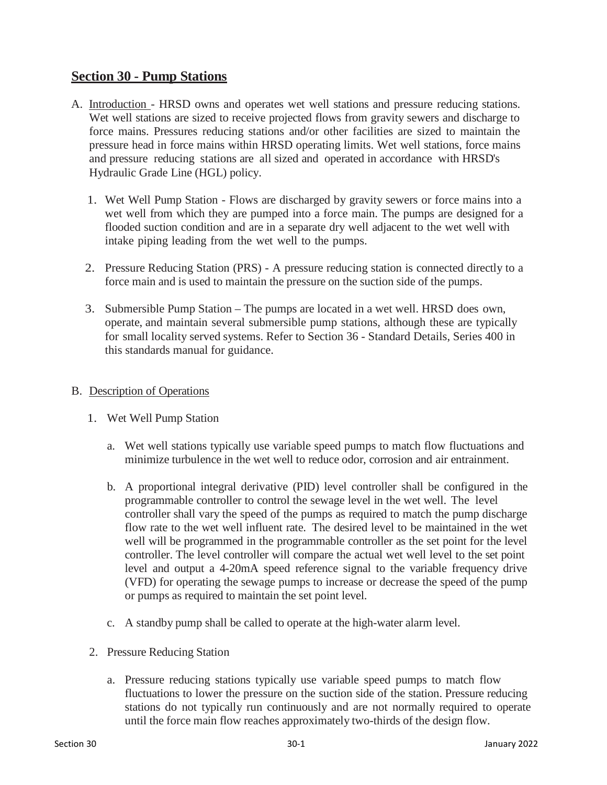# **Section 30 - Pump Stations**

- A. Introduction HRSD owns and operates wet well stations and pressure reducing stations. Wet well stations are sized to receive projected flows from gravity sewers and discharge to force mains. Pressures reducing stations and/or other facilities are sized to maintain the pressure head in force mains within HRSD operating limits. Wet well stations, force mains and pressure reducing stations are all sized and operated in accordance with HRSD's Hydraulic Grade Line (HGL) policy.
	- 1. Wet Well Pump Station Flows are discharged by gravity sewers or force mains into a wet well from which they are pumped into a force main. The pumps are designed for a flooded suction condition and are in a separate dry well adjacent to the wet well with intake piping leading from the wet well to the pumps.
	- 2. Pressure Reducing Station (PRS) A pressure reducing station is connected directly to a force main and is used to maintain the pressure on the suction side of the pumps.
	- 3. Submersible Pump Station The pumps are located in a wet well. HRSD does own, operate, and maintain several submersible pump stations, although these are typically for small locality served systems. Refer to Section 36 - Standard Details, Series 400 in this standards manual for guidance.

## B. Description of Operations

- 1. Wet Well Pump Station
	- a. Wet well stations typically use variable speed pumps to match flow fluctuations and minimize turbulence in the wet well to reduce odor, corrosion and air entrainment.
	- b. A proportional integral derivative (PID) level controller shall be configured in the programmable controller to control the sewage level in the wet well. The level controller shall vary the speed of the pumps as required to match the pump discharge flow rate to the wet well influent rate. The desired level to be maintained in the wet well will be programmed in the programmable controller as the set point for the level controller. The level controller will compare the actual wet well level to the set point level and output a 4-20mA speed reference signal to the variable frequency drive (VFD) for operating the sewage pumps to increase or decrease the speed of the pump or pumps as required to maintain the set point level.
	- c. A standby pump shall be called to operate at the high-water alarm level.
- 2. Pressure Reducing Station
	- a. Pressure reducing stations typically use variable speed pumps to match flow fluctuations to lower the pressure on the suction side of the station. Pressure reducing stations do not typically run continuously and are not normally required to operate until the force main flow reaches approximately two-thirds of the design flow.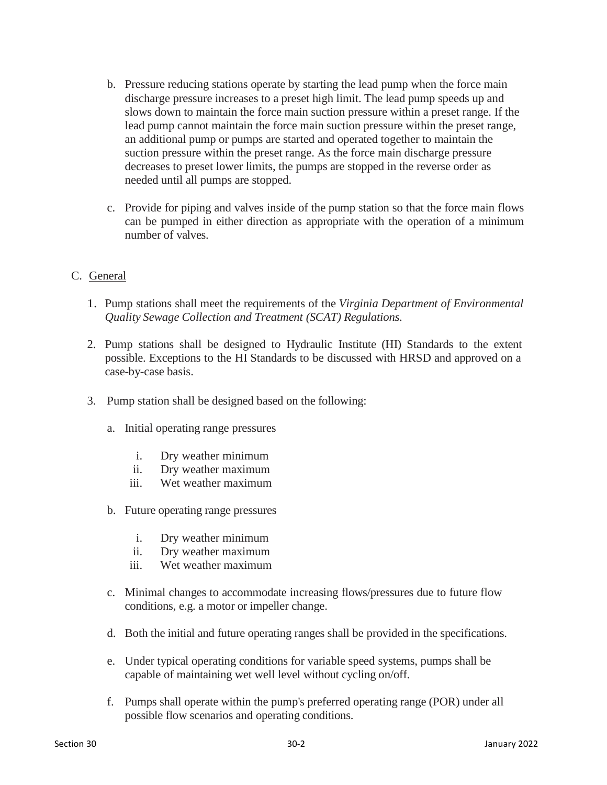- b. Pressure reducing stations operate by starting the lead pump when the force main discharge pressure increases to a preset high limit. The lead pump speeds up and slows down to maintain the force main suction pressure within a preset range. If the lead pump cannot maintain the force main suction pressure within the preset range, an additional pump or pumps are started and operated together to maintain the suction pressure within the preset range. As the force main discharge pressure decreases to preset lower limits, the pumps are stopped in the reverse order as needed until all pumps are stopped.
- c. Provide for piping and valves inside of the pump station so that the force main flows can be pumped in either direction as appropriate with the operation of a minimum number of valves.
- C. General
	- 1. Pump stations shall meet the requirements of the *Virginia Department of Environmental Quality Sewage Collection and Treatment (SCAT) Regulations*.
	- 2. Pump stations shall be designed to Hydraulic Institute (HI) Standards to the extent possible. Exceptions to the HI Standards to be discussed with HRSD and approved on a case-by-case basis.
	- 3. Pump station shall be designed based on the following:
		- a. Initial operating range pressures
			- i. Dry weather minimum
			- ii. Dry weather maximum
			- iii. Wet weather maximum
		- b. Future operating range pressures
			- i. Dry weather minimum
			- ii. Dry weather maximum
			- iii. Wet weather maximum
		- c. Minimal changes to accommodate increasing flows/pressures due to future flow conditions, e.g. a motor or impeller change.
		- d. Both the initial and future operating ranges shall be provided in the specifications.
		- e. Under typical operating conditions for variable speed systems, pumps shall be capable of maintaining wet well level without cycling on/off.
		- f. Pumps shall operate within the pump's preferred operating range (POR) under all possible flow scenarios and operating conditions.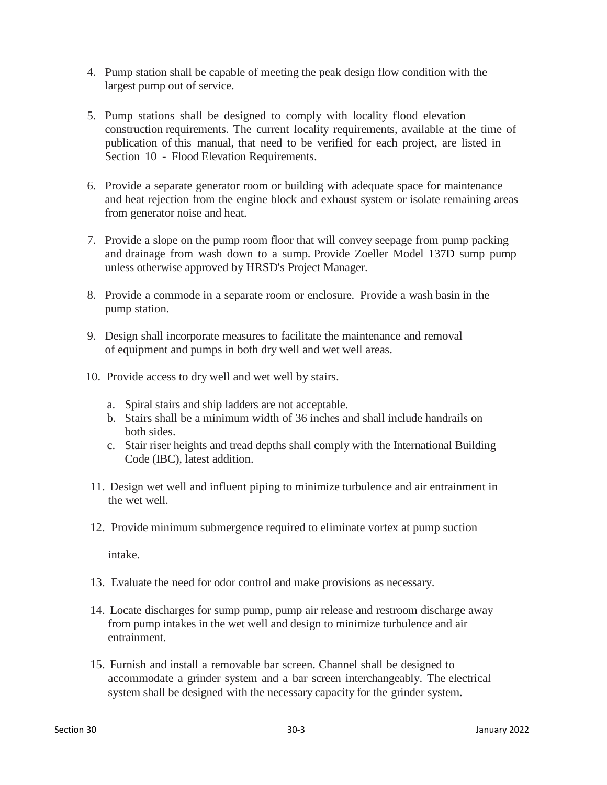- 4. Pump station shall be capable of meeting the peak design flow condition with the largest pump out of service.
- 5. Pump stations shall be designed to comply with locality flood elevation construction requirements. The current locality requirements, available at the time of publication of this manual, that need to be verified for each project, are listed in Section 10 - Flood Elevation Requirements.
- 6. Provide a separate generator room or building with adequate space for maintenance and heat rejection from the engine block and exhaust system or isolate remaining areas from generator noise and heat.
- 7. Provide a slope on the pump room floor that will convey seepage from pump packing and drainage from wash down to a sump. Provide Zoeller Model 137D sump pump unless otherwise approved by HRSD's Project Manager.
- 8. Provide a commode in a separate room or enclosure. Provide a wash basin in the pump station.
- 9. Design shall incorporate measures to facilitate the maintenance and removal of equipment and pumps in both dry well and wet well areas.
- 10. Provide access to dry well and wet well by stairs.
	- a. Spiral stairs and ship ladders are not acceptable.
	- b. Stairs shall be a minimum width of 36 inches and shall include handrails on both sides.
	- c. Stair riser heights and tread depths shall comply with the International Building Code (IBC), latest addition.
- 11. Design wet well and influent piping to minimize turbulence and air entrainment in the wet well.
- 12. Provide minimum submergence required to eliminate vortex at pump suction

intake.

- 13. Evaluate the need for odor control and make provisions as necessary.
- 14. Locate discharges for sump pump, pump air release and restroom discharge away from pump intakes in the wet well and design to minimize turbulence and air entrainment.
- 15. Furnish and install a removable bar screen. Channel shall be designed to accommodate a grinder system and a bar screen interchangeably. The electrical system shall be designed with the necessary capacity for the grinder system.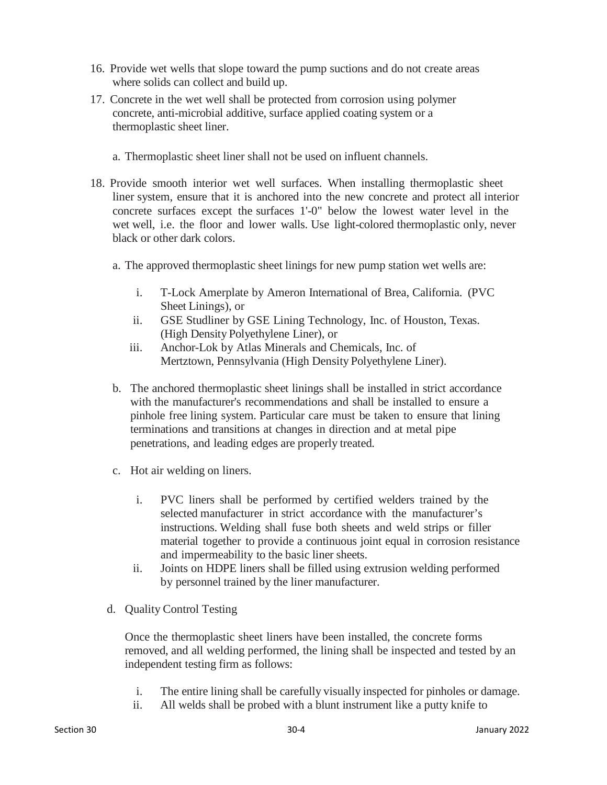- 16. Provide wet wells that slope toward the pump suctions and do not create areas where solids can collect and build up.
- 17. Concrete in the wet well shall be protected from corrosion using polymer concrete, anti-microbial additive, surface applied coating system or a thermoplastic sheet liner.
	- a. Thermoplastic sheet liner shall not be used on influent channels.
- 18. Provide smooth interior wet well surfaces. When installing thermoplastic sheet liner system, ensure that it is anchored into the new concrete and protect all interior concrete surfaces except the surfaces 1'-0" below the lowest water level in the wet well, i.e. the floor and lower walls. Use light-colored thermoplastic only, never black or other dark colors.
	- a. The approved thermoplastic sheet linings for new pump station wet wells are:
		- i. T-Lock Amerplate by Ameron International of Brea, California. (PVC Sheet Linings), or
		- ii. GSE Studliner by GSE Lining Technology, Inc. of Houston, Texas. (High Density Polyethylene Liner), or
		- iii. Anchor-Lok by Atlas Minerals and Chemicals, Inc. of Mertztown, Pennsylvania (High Density Polyethylene Liner).
	- b. The anchored thermoplastic sheet linings shall be installed in strict accordance with the manufacturer's recommendations and shall be installed to ensure a pinhole free lining system. Particular care must be taken to ensure that lining terminations and transitions at changes in direction and at metal pipe penetrations, and leading edges are properly treated.
	- c. Hot air welding on liners.
		- i. PVC liners shall be performed by certified welders trained by the selected manufacturer in strict accordance with the manufacturer's instructions. Welding shall fuse both sheets and weld strips or filler material together to provide a continuous joint equal in corrosion resistance and impermeability to the basic liner sheets.
		- ii. Joints on HDPE liners shall be filled using extrusion welding performed by personnel trained by the liner manufacturer.
	- d. Quality Control Testing

Once the thermoplastic sheet liners have been installed, the concrete forms removed, and all welding performed, the lining shall be inspected and tested by an independent testing firm as follows:

- i. The entire lining shall be carefully visually inspected for pinholes or damage.
- ii. All welds shall be probed with a blunt instrument like a putty knife to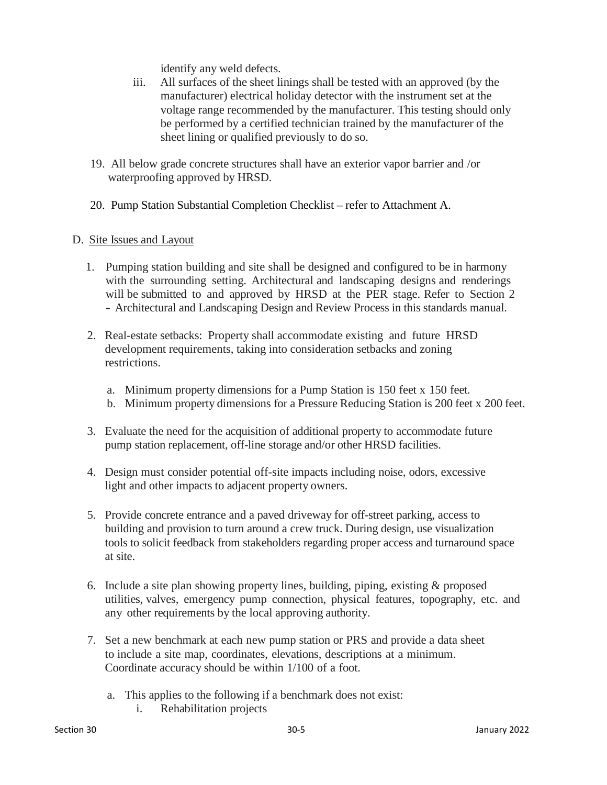identify any weld defects.

- iii. All surfaces of the sheet linings shall be tested with an approved (by the manufacturer) electrical holiday detector with the instrument set at the voltage range recommended by the manufacturer. This testing should only be performed by a certified technician trained by the manufacturer of the sheet lining or qualified previously to do so.
- 19. All below grade concrete structures shall have an exterior vapor barrier and /or waterproofing approved by HRSD.
- 20. Pump Station Substantial Completion Checklist refer to Attachment A.

#### D. Site Issues and Layout

- 1. Pumping station building and site shall be designed and configured to be in harmony with the surrounding setting. Architectural and landscaping designs and renderings will be submitted to and approved by HRSD at the PER stage. Refer to Section 2 - Architectural and Landscaping Design and Review Process in this standards manual.
- 2. Real-estate setbacks: Property shall accommodate existing and future HRSD development requirements, taking into consideration setbacks and zoning restrictions.
	- a. Minimum property dimensions for a Pump Station is 150 feet x 150 feet.
	- b. Minimum property dimensions for a Pressure Reducing Station is 200 feet x 200 feet.
- 3. Evaluate the need for the acquisition of additional property to accommodate future pump station replacement, off-line storage and/or other HRSD facilities.
- 4. Design must consider potential off-site impacts including noise, odors, excessive light and other impacts to adjacent property owners.
- 5. Provide concrete entrance and a paved driveway for off-street parking, access to building and provision to turn around a crew truck. During design, use visualization tools to solicit feedback from stakeholders regarding proper access and turnaround space at site.
- 6. Include a site plan showing property lines, building, piping, existing & proposed utilities, valves, emergency pump connection, physical features, topography, etc. and any other requirements by the local approving authority.
- 7. Set a new benchmark at each new pump station or PRS and provide a data sheet to include a site map, coordinates, elevations, descriptions at a minimum. Coordinate accuracy should be within 1/100 of a foot.
	- a. This applies to the following if a benchmark does not exist:
		- i. Rehabilitation projects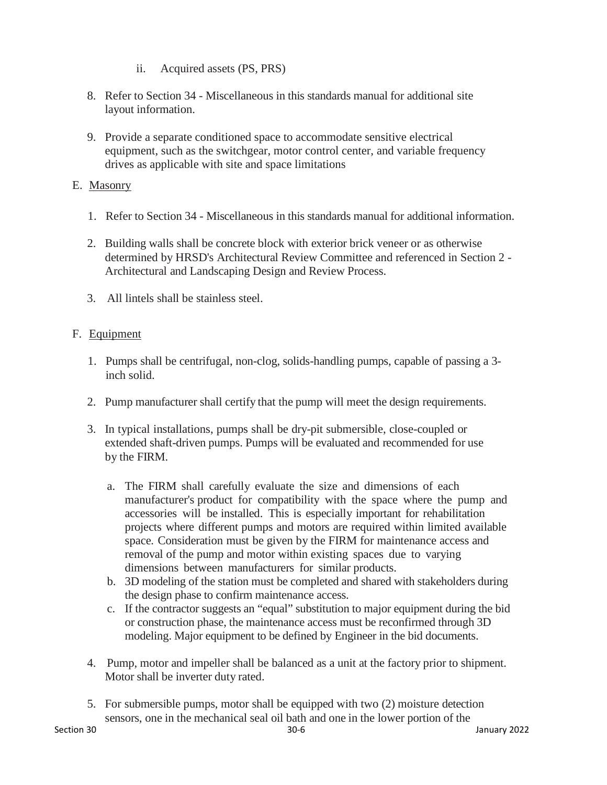- ii. Acquired assets (PS, PRS)
- 8. Refer to Section 34 Miscellaneous in this standards manual for additional site layout information.
- 9. Provide a separate conditioned space to accommodate sensitive electrical equipment, such as the switchgear, motor control center, and variable frequency drives as applicable with site and space limitations

# E. Masonry

- 1. Refer to Section 34 Miscellaneous in this standards manual for additional information.
- 2. Building walls shall be concrete block with exterior brick veneer or as otherwise determined by HRSD's Architectural Review Committee and referenced in Section 2 - Architectural and Landscaping Design and Review Process.
- 3. All lintels shall be stainless steel.

# F. Equipment

- 1. Pumps shall be centrifugal, non-clog, solids-handling pumps, capable of passing a 3 inch solid.
- 2. Pump manufacturer shall certify that the pump will meet the design requirements.
- 3. In typical installations, pumps shall be dry-pit submersible, close-coupled or extended shaft-driven pumps. Pumps will be evaluated and recommended for use by the FIRM.
	- a. The FIRM shall carefully evaluate the size and dimensions of each manufacturer's product for compatibility with the space where the pump and accessories will be installed. This is especially important for rehabilitation projects where different pumps and motors are required within limited available space. Consideration must be given by the FIRM for maintenance access and removal of the pump and motor within existing spaces due to varying dimensions between manufacturers for similar products.
	- b. 3D modeling of the station must be completed and shared with stakeholders during the design phase to confirm maintenance access.
	- c. If the contractor suggests an "equal" substitution to major equipment during the bid or construction phase, the maintenance access must be reconfirmed through 3D modeling. Major equipment to be defined by Engineer in the bid documents.
- 4. Pump, motor and impeller shall be balanced as a unit at the factory prior to shipment. Motor shall be inverter duty rated.
- 5. For submersible pumps, motor shall be equipped with two (2) moisture detection sensors, one in the mechanical seal oil bath and one in the lower portion of the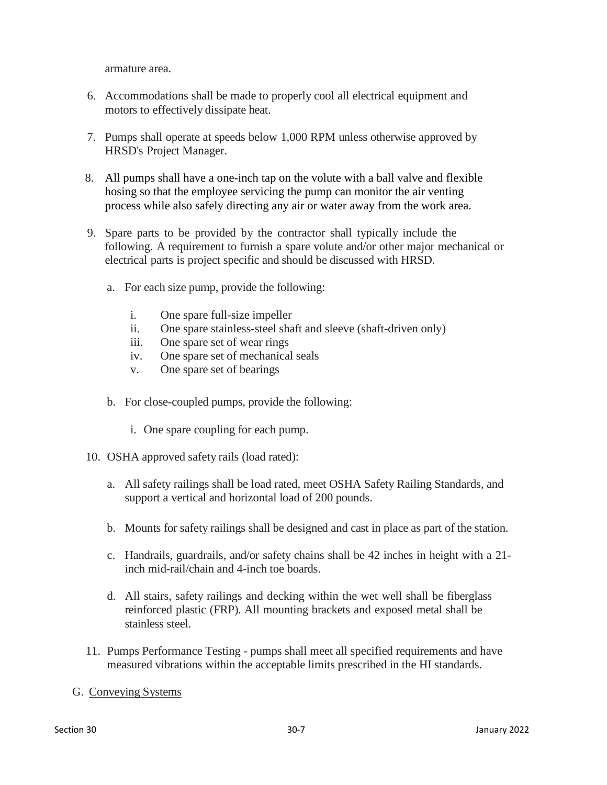armature area.

- 6. Accommodations shall be made to properly cool all electrical equipment and motors to effectively dissipate heat.
- 7. Pumps shall operate at speeds below 1,000 RPM unless otherwise approved by HRSD's Project Manager.
- 8. All pumps shall have a one-inch tap on the volute with a ball valve and flexible hosing so that the employee servicing the pump can monitor the air venting process while also safely directing any air or water away from the work area.
- 9. Spare parts to be provided by the contractor shall typically include the following. A requirement to furnish a spare volute and/or other major mechanical or electrical parts is project specific and should be discussed with HRSD.
	- a. For each size pump, provide the following:
		- i. One spare full-size impeller
		- ii. One spare stainless-steel shaft and sleeve (shaft-driven only)
		- iii. One spare set of wear rings
		- iv. One spare set of mechanical seals
		- v. One spare set of bearings
	- b. For close-coupled pumps, provide the following:
		- i. One spare coupling for each pump.
- 10. OSHA approved safety rails (load rated):
	- a. All safety railings shall be load rated, meet OSHA Safety Railing Standards, and support a vertical and horizontal load of 200 pounds.
	- b. Mounts for safety railings shall be designed and cast in place as part of the station.
	- c. Handrails, guardrails, and/or safety chains shall be 42 inches in height with a 21 inch mid-rail/chain and 4-inch toe boards.
	- d. All stairs, safety railings and decking within the wet well shall be fiberglass reinforced plastic (FRP). All mounting brackets and exposed metal shall be stainless steel.
- 11. Pumps Performance Testing pumps shall meet all specified requirements and have measured vibrations within the acceptable limits prescribed in the HI standards.

## G. Conveying Systems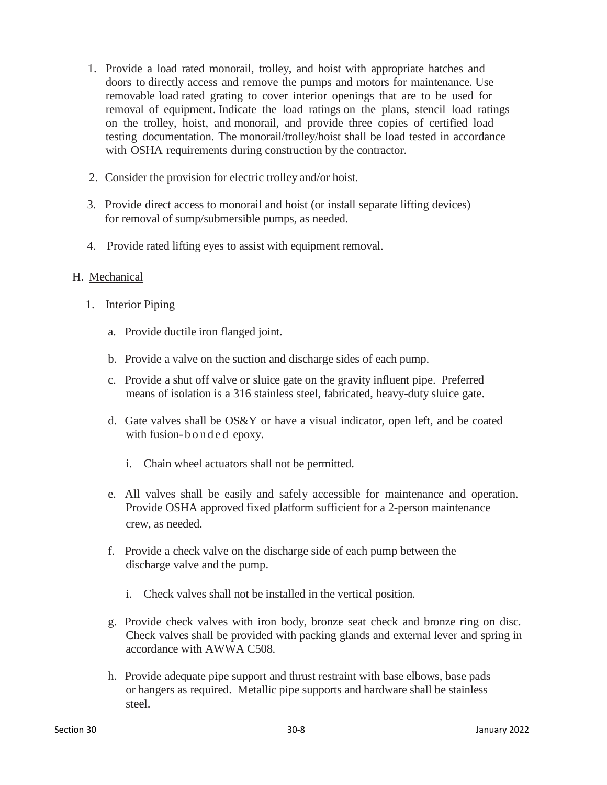- 1. Provide a load rated monorail, trolley, and hoist with appropriate hatches and doors to directly access and remove the pumps and motors for maintenance. Use removable load rated grating to cover interior openings that are to be used for removal of equipment. Indicate the load ratings on the plans, stencil load ratings on the trolley, hoist, and monorail, and provide three copies of certified load testing documentation. The monorail/trolley/hoist shall be load tested in accordance with OSHA requirements during construction by the contractor.
- 2. Consider the provision for electric trolley and/or hoist.
- 3. Provide direct access to monorail and hoist (or install separate lifting devices) for removal of sump/submersible pumps, as needed.
- 4. Provide rated lifting eyes to assist with equipment removal.

#### H. Mechanical

- 1. Interior Piping
	- a. Provide ductile iron flanged joint.
	- b. Provide a valve on the suction and discharge sides of each pump.
	- c. Provide a shut off valve or sluice gate on the gravity influent pipe. Preferred means of isolation is a 316 stainless steel, fabricated, heavy-duty sluice gate.
	- d. Gate valves shall be OS&Y or have a visual indicator, open left, and be coated with fusion-bonded epoxy.
		- i. Chain wheel actuators shall not be permitted.
	- e. All valves shall be easily and safely accessible for maintenance and operation. Provide OSHA approved fixed platform sufficient for a 2-person maintenance crew, as needed.
	- f. Provide a check valve on the discharge side of each pump between the discharge valve and the pump.
		- i. Check valves shall not be installed in the vertical position.
	- g. Provide check valves with iron body, bronze seat check and bronze ring on disc. Check valves shall be provided with packing glands and external lever and spring in accordance with AWWA C508.
	- h. Provide adequate pipe support and thrust restraint with base elbows, base pads or hangers as required. Metallic pipe supports and hardware shall be stainless steel.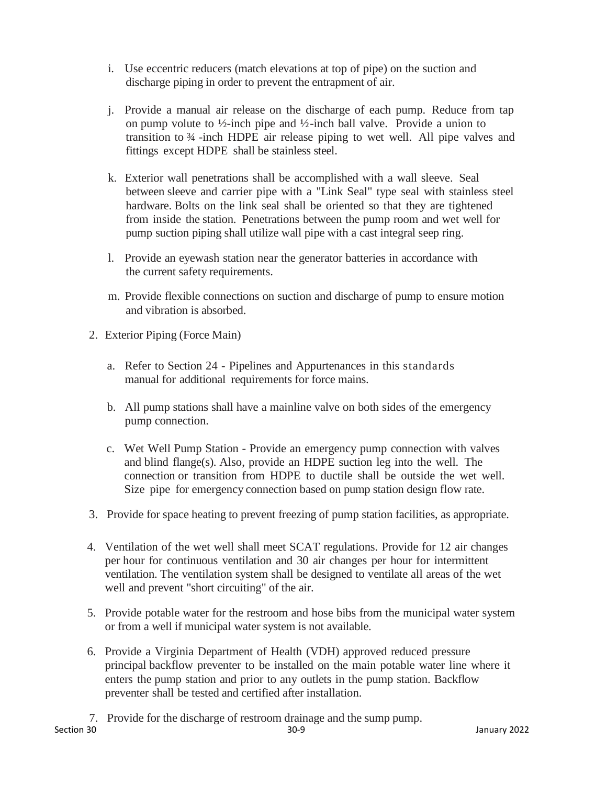- i. Use eccentric reducers (match elevations at top of pipe) on the suction and discharge piping in order to prevent the entrapment of air.
- j. Provide a manual air release on the discharge of each pump. Reduce from tap on pump volute to  $\frac{1}{2}$ -inch pipe and  $\frac{1}{2}$ -inch ball valve. Provide a union to transition to ¾ -inch HDPE air release piping to wet well. All pipe valves and fittings except HDPE shall be stainless steel.
- k. Exterior wall penetrations shall be accomplished with a wall sleeve. Seal between sleeve and carrier pipe with a "Link Seal" type seal with stainless steel hardware. Bolts on the link seal shall be oriented so that they are tightened from inside the station. Penetrations between the pump room and wet well for pump suction piping shall utilize wall pipe with a cast integral seep ring.
- l. Provide an eyewash station near the generator batteries in accordance with the current safety requirements.
- m. Provide flexible connections on suction and discharge of pump to ensure motion and vibration is absorbed.
- 2. Exterior Piping (Force Main)
	- a. Refer to Section 24 Pipelines and Appurtenances in this standards manual for additional requirements for force mains.
	- b. All pump stations shall have a mainline valve on both sides of the emergency pump connection.
	- c. Wet Well Pump Station Provide an emergency pump connection with valves and blind flange(s). Also, provide an HDPE suction leg into the well. The connection or transition from HDPE to ductile shall be outside the wet well. Size pipe for emergency connection based on pump station design flow rate.
- 3. Provide for space heating to prevent freezing of pump station facilities, as appropriate.
- 4. Ventilation of the wet well shall meet SCAT regulations. Provide for 12 air changes per hour for continuous ventilation and 30 air changes per hour for intermittent ventilation. The ventilation system shall be designed to ventilate all areas of the wet well and prevent "short circuiting" of the air.
- 5. Provide potable water for the restroom and hose bibs from the municipal water system or from a well if municipal water system is not available.
- 6. Provide a Virginia Department of Health (VDH) approved reduced pressure principal backflow preventer to be installed on the main potable water line where it enters the pump station and prior to any outlets in the pump station. Backflow preventer shall be tested and certified after installation.
- 7. Provide for the discharge of restroom drainage and the sump pump.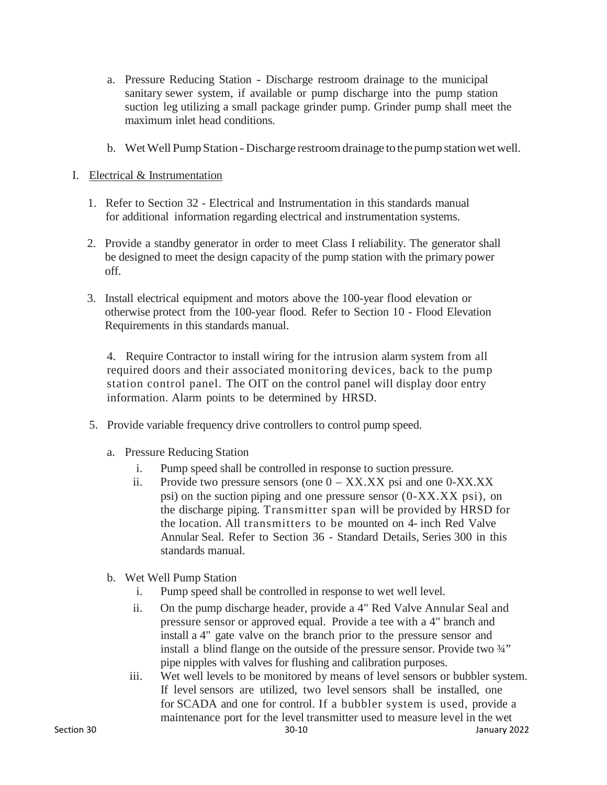- a. Pressure Reducing Station Discharge restroom drainage to the municipal sanitary sewer system, if available or pump discharge into the pump station suction leg utilizing a small package grinder pump. Grinder pump shall meet the maximum inlet head conditions.
- b. Wet Well Pump Station Discharge restroom drainage to the pump station wet well.
- I. Electrical & Instrumentation
	- 1. Refer to Section 32 Electrical and Instrumentation in this standards manual for additional information regarding electrical and instrumentation systems.
	- 2. Provide a standby generator in order to meet Class I reliability. The generator shall be designed to meet the design capacity of the pump station with the primary power off.
	- 3. Install electrical equipment and motors above the 100-year flood elevation or otherwise protect from the 100-year flood. Refer to Section 10 - Flood Elevation Requirements in this standards manual.

4. Require Contractor to install wiring for the intrusion alarm system from all required doors and their associated monitoring devices, back to the pump station control panel. The OIT on the control panel will display door entry information. Alarm points to be determined by HRSD.

- 5. Provide variable frequency drive controllers to control pump speed.
	- a. Pressure Reducing Station
		- i. Pump speed shall be controlled in response to suction pressure.
		- ii. Provide two pressure sensors (one  $0 XXX. XX$  psi and one  $0 XXX. XX$ psi) on the suction piping and one pressure sensor (0-XX.XX psi), on the discharge piping. Transmitter span will be provided by HRSD for the location. All transmitters to be mounted on 4- inch Red Valve Annular Seal. Refer to Section 36 - Standard Details, Series 300 in this standards manual.
	- b. Wet Well Pump Station
		- i. Pump speed shall be controlled in response to wet well level.
		- ii. On the pump discharge header, provide a 4" Red Valve Annular Seal and pressure sensor or approved equal. Provide a tee with a 4" branch and install a 4" gate valve on the branch prior to the pressure sensor and install a blind flange on the outside of the pressure sensor. Provide two ¾" pipe nipples with valves for flushing and calibration purposes.
		- iii. Wet well levels to be monitored by means of level sensors or bubbler system. If level sensors are utilized, two level sensors shall be installed, one for SCADA and one for control. If a bubbler system is used, provide a maintenance port for the level transmitter used to measure level in the wet